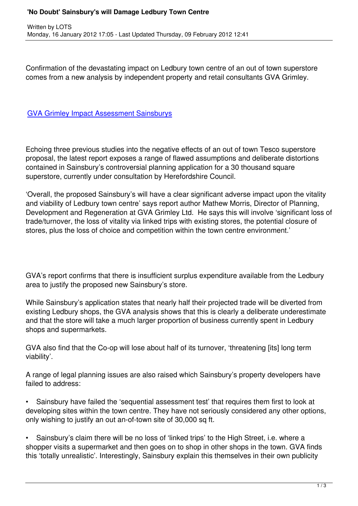Confirmation of the devastating impact on Ledbury town centre of an out of town superstore comes from a new analysis by independent property and retail consultants GVA Grimley.

## GVA Grimley Impact Assessment Sainsburys

[Echoing three previous studies into the negativ](http://www.ledburyportal.co.uk/publications/GVA Grimley Impact Assessment Sainsburys .pdf)e effects of an out of town Tesco superstore proposal, the latest report exposes a range of flawed assumptions and deliberate distortions contained in Sainsbury's controversial planning application for a 30 thousand square superstore, currently under consultation by Herefordshire Council.

'Overall, the proposed Sainsbury's will have a clear significant adverse impact upon the vitality and viability of Ledbury town centre' says report author Mathew Morris, Director of Planning, Development and Regeneration at GVA Grimley Ltd. He says this will involve 'significant loss of trade/turnover, the loss of vitality via linked trips with existing stores, the potential closure of stores, plus the loss of choice and competition within the town centre environment.'

GVA's report confirms that there is insufficient surplus expenditure available from the Ledbury area to justify the proposed new Sainsbury's store.

While Sainsbury's application states that nearly half their projected trade will be diverted from existing Ledbury shops, the GVA analysis shows that this is clearly a deliberate underestimate and that the store will take a much larger proportion of business currently spent in Ledbury shops and supermarkets.

GVA also find that the Co-op will lose about half of its turnover, 'threatening [its] long term viability'.

A range of legal planning issues are also raised which Sainsbury's property developers have failed to address:

• Sainsbury have failed the 'sequential assessment test' that requires them first to look at developing sites within the town centre. They have not seriously considered any other options, only wishing to justify an out an-of-town site of 30,000 sq ft.

• Sainsbury's claim there will be no loss of 'linked trips' to the High Street, i.e. where a shopper visits a supermarket and then goes on to shop in other shops in the town. GVA finds this 'totally unrealistic'. Interestingly, Sainsbury explain this themselves in their own publicity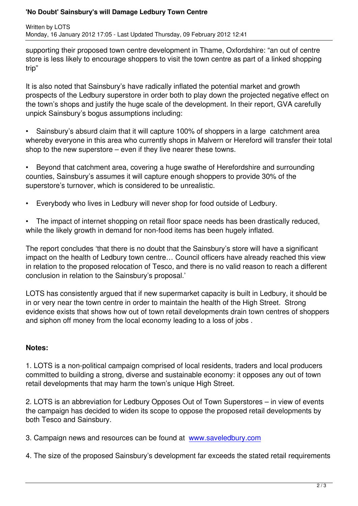supporting their proposed town centre development in Thame, Oxfordshire: "an out of centre store is less likely to encourage shoppers to visit the town centre as part of a linked shopping trip"

It is also noted that Sainsbury's have radically inflated the potential market and growth prospects of the Ledbury superstore in order both to play down the projected negative effect on the town's shops and justify the huge scale of the development. In their report, GVA carefully unpick Sainsbury's bogus assumptions including:

• Sainsbury's absurd claim that it will capture 100% of shoppers in a large catchment area whereby everyone in this area who currently shops in Malvern or Hereford will transfer their total shop to the new superstore – even if they live nearer these towns.

• Beyond that catchment area, covering a huge swathe of Herefordshire and surrounding counties, Sainsbury's assumes it will capture enough shoppers to provide 30% of the superstore's turnover, which is considered to be unrealistic.

• Everybody who lives in Ledbury will never shop for food outside of Ledbury.

• The impact of internet shopping on retail floor space needs has been drastically reduced, while the likely growth in demand for non-food items has been hugely inflated.

The report concludes 'that there is no doubt that the Sainsbury's store will have a significant impact on the health of Ledbury town centre… Council officers have already reached this view in relation to the proposed relocation of Tesco, and there is no valid reason to reach a different conclusion in relation to the Sainsbury's proposal.'

LOTS has consistently argued that if new supermarket capacity is built in Ledbury, it should be in or very near the town centre in order to maintain the health of the High Street. Strong evidence exists that shows how out of town retail developments drain town centres of shoppers and siphon off money from the local economy leading to a loss of jobs .

## **Notes:**

1. LOTS is a non-political campaign comprised of local residents, traders and local producers committed to building a strong, diverse and sustainable economy: it opposes any out of town retail developments that may harm the town's unique High Street.

2. LOTS is an abbreviation for Ledbury Opposes Out of Town Superstores – in view of events the campaign has decided to widen its scope to oppose the proposed retail developments by both Tesco and Sainsbury.

3. Campaign news and resources can be found at www.saveledbury.com

4. The size of the proposed Sainsbury's development far exceeds the stated retail requirements